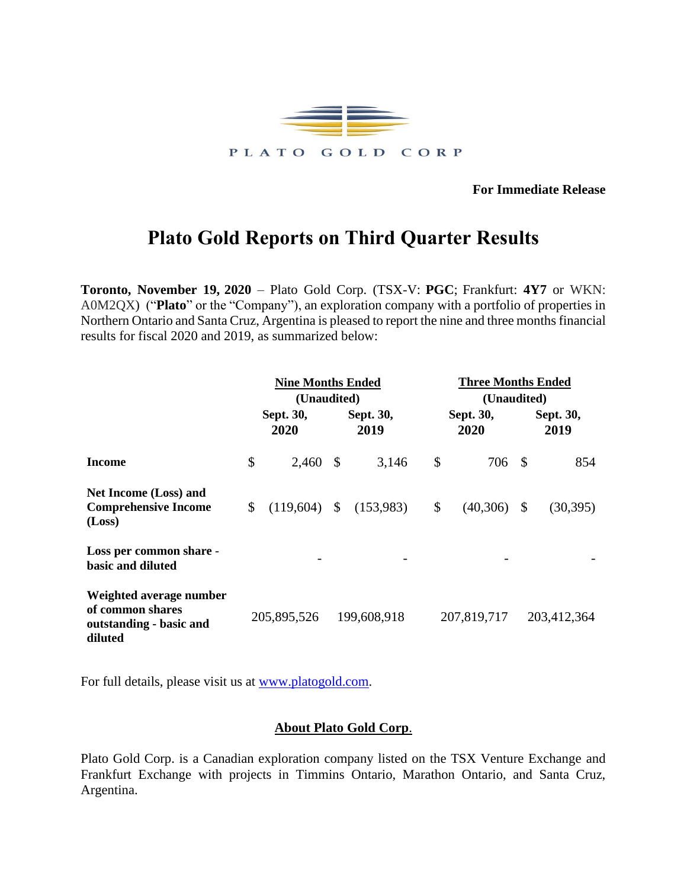

**For Immediate Release**

## **Plato Gold Reports on Third Quarter Results**

**Toronto, November 19, 2020** – Plato Gold Corp. (TSX-V: **PGC**; Frankfurt: **4Y7** or WKN: A0M2QX) ("**Plato**" or the "Company"), an exploration company with a portfolio of properties in Northern Ontario and Santa Cruz, Argentina is pleased to report the nine and three months financial results for fiscal 2020 and 2019, as summarized below:

|                                                                                   | <b>Nine Months Ended</b> |             |                                  |             | <b>Three Months Ended</b> |             |                                  |             |
|-----------------------------------------------------------------------------------|--------------------------|-------------|----------------------------------|-------------|---------------------------|-------------|----------------------------------|-------------|
| Income                                                                            | Sept. 30,<br>2020        |             | (Unaudited)<br>Sept. 30,<br>2019 |             | Sept. 30,<br>2020         |             | (Unaudited)<br>Sept. 30,<br>2019 |             |
|                                                                                   | \$                       | 2,460       | $\mathbb{S}$                     | 3,146       | \$                        | 706 \$      |                                  | 854         |
| <b>Net Income (Loss) and</b><br><b>Comprehensive Income</b><br>(Loss)             | \$                       | (119,604)   | $\mathcal{S}$                    | (153,983)   | \$                        | (40,306)    | $\mathcal{S}$                    | (30, 395)   |
| Loss per common share -<br>basic and diluted                                      |                          |             |                                  |             |                           |             |                                  |             |
| Weighted average number<br>of common shares<br>outstanding - basic and<br>diluted |                          | 205,895,526 |                                  | 199,608,918 |                           | 207,819,717 |                                  | 203,412,364 |

For full details, please visit us at [www.platogold.com.](http://www.platogold.com/)

## **About Plato Gold Corp**.

Plato Gold Corp. is a Canadian exploration company listed on the TSX Venture Exchange and Frankfurt Exchange with projects in Timmins Ontario, Marathon Ontario, and Santa Cruz, Argentina.